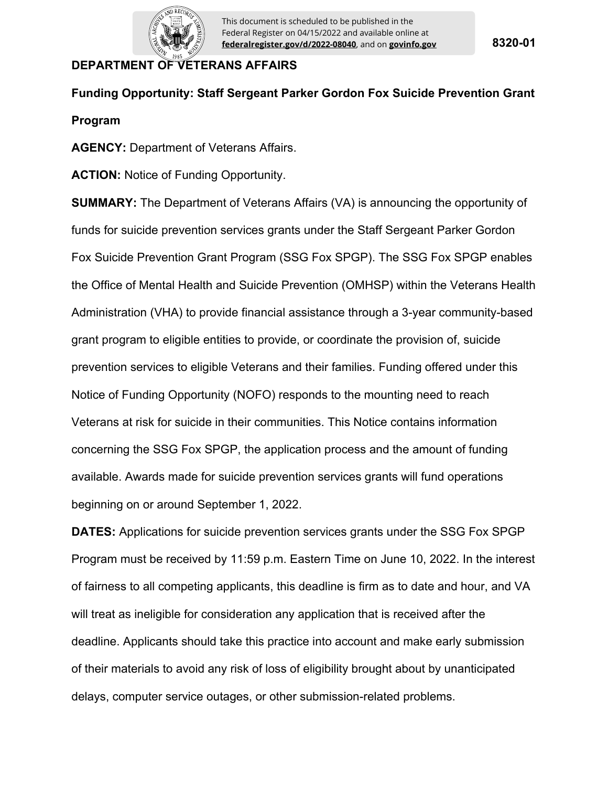

# **DEPARTMENT OF VETERANS AFFAIRS**

# **Funding Opportunity: Staff Sergeant Parker Gordon Fox Suicide Prevention Grant Program**

**AGENCY:** Department of Veterans Affairs.

**ACTION:** Notice of Funding Opportunity.

**SUMMARY:** The Department of Veterans Affairs (VA) is announcing the opportunity of funds for suicide prevention services grants under the Staff Sergeant Parker Gordon Fox Suicide Prevention Grant Program (SSG Fox SPGP). The SSG Fox SPGP enables the Office of Mental Health and Suicide Prevention (OMHSP) within the Veterans Health Administration (VHA) to provide financial assistance through a 3-year community-based grant program to eligible entities to provide, or coordinate the provision of, suicide prevention services to eligible Veterans and their families. Funding offered under this Notice of Funding Opportunity (NOFO) responds to the mounting need to reach Veterans at risk for suicide in their communities. This Notice contains information concerning the SSG Fox SPGP, the application process and the amount of funding available. Awards made for suicide prevention services grants will fund operations beginning on or around September 1, 2022.

**DATES:** Applications for suicide prevention services grants under the SSG Fox SPGP Program must be received by 11:59 p.m. Eastern Time on June 10, 2022. In the interest of fairness to all competing applicants, this deadline is firm as to date and hour, and VA will treat as ineligible for consideration any application that is received after the deadline. Applicants should take this practice into account and make early submission of their materials to avoid any risk of loss of eligibility brought about by unanticipated delays, computer service outages, or other submission-related problems.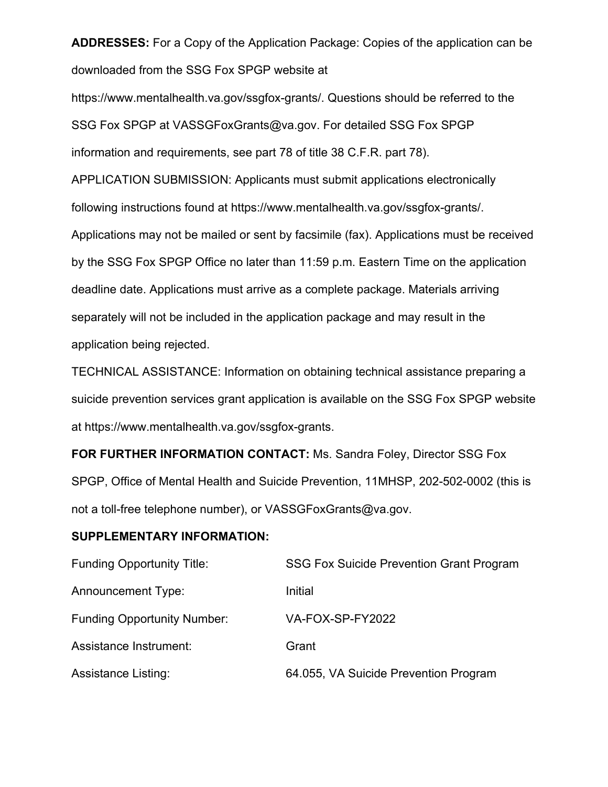**ADDRESSES:** For a Copy of the Application Package: Copies of the application can be downloaded from the SSG Fox SPGP website at

https://www.mentalhealth.va.gov/ssgfox-grants/. Questions should be referred to the SSG Fox SPGP at VASSGFoxGrants@va.gov. For detailed SSG Fox SPGP information and requirements, see part 78 of title 38 C.F.R. part 78).

APPLICATION SUBMISSION: Applicants must submit applications electronically following instructions found at https://www.mentalhealth.va.gov/ssgfox-grants/. Applications may not be mailed or sent by facsimile (fax). Applications must be received by the SSG Fox SPGP Office no later than 11:59 p.m. Eastern Time on the application deadline date. Applications must arrive as a complete package. Materials arriving separately will not be included in the application package and may result in the application being rejected.

TECHNICAL ASSISTANCE: Information on obtaining technical assistance preparing a suicide prevention services grant application is available on the SSG Fox SPGP website at https://www.mentalhealth.va.gov/ssgfox-grants.

**FOR FURTHER INFORMATION CONTACT:** Ms. Sandra Foley, Director SSG Fox SPGP, Office of Mental Health and Suicide Prevention, 11MHSP, 202-502-0002 (this is not a toll-free telephone number), or VASSGFoxGrants@va.gov.

## **SUPPLEMENTARY INFORMATION:**

| <b>Funding Opportunity Title:</b>  | SSG Fox Suicide Prevention Grant Program |
|------------------------------------|------------------------------------------|
| <b>Announcement Type:</b>          | Initial                                  |
| <b>Funding Opportunity Number:</b> | VA-FOX-SP-FY2022                         |
| Assistance Instrument:             | Grant                                    |
| <b>Assistance Listing:</b>         | 64.055, VA Suicide Prevention Program    |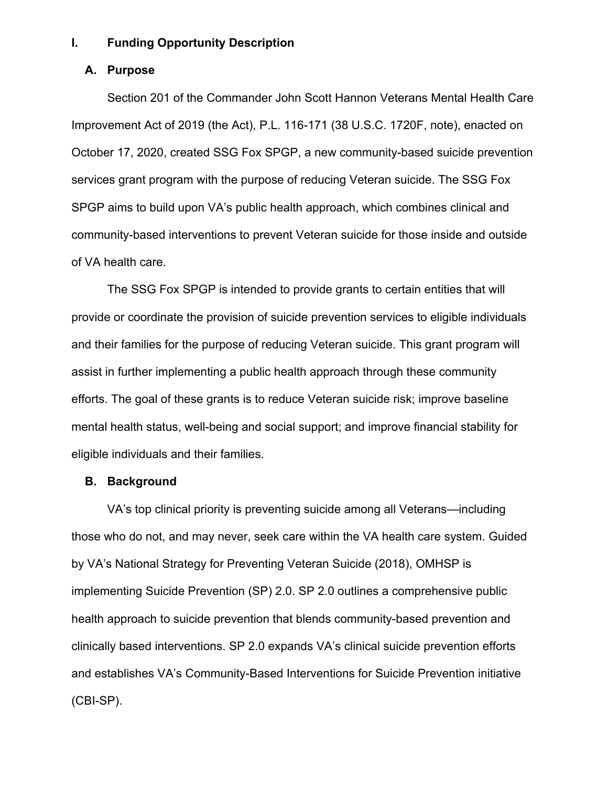#### **I. Funding Opportunity Description**

#### **A. Purpose**

Section 201 of the Commander John Scott Hannon Veterans Mental Health Care Improvement Act of 2019 (the Act), P.L. 116-171 (38 U.S.C. 1720F, note), enacted on October 17, 2020, created SSG Fox SPGP, a new community-based suicide prevention services grant program with the purpose of reducing Veteran suicide. The SSG Fox SPGP aims to build upon VA's public health approach, which combines clinical and community-based interventions to prevent Veteran suicide for those inside and outside of VA health care.

The SSG Fox SPGP is intended to provide grants to certain entities that will provide or coordinate the provision of suicide prevention services to eligible individuals and their families for the purpose of reducing Veteran suicide. This grant program will assist in further implementing a public health approach through these community efforts. The goal of these grants is to reduce Veteran suicide risk; improve baseline mental health status, well-being and social support; and improve financial stability for eligible individuals and their families.

## **B. Background**

VA's top clinical priority is preventing suicide among all Veterans—including those who do not, and may never, seek care within the VA health care system. Guided by VA's National Strategy for Preventing Veteran Suicide (2018), OMHSP is implementing Suicide Prevention (SP) 2.0. SP 2.0 outlines a comprehensive public health approach to suicide prevention that blends community-based prevention and clinically based interventions. SP 2.0 expands VA's clinical suicide prevention efforts and establishes VA's Community-Based Interventions for Suicide Prevention initiative (CBI-SP).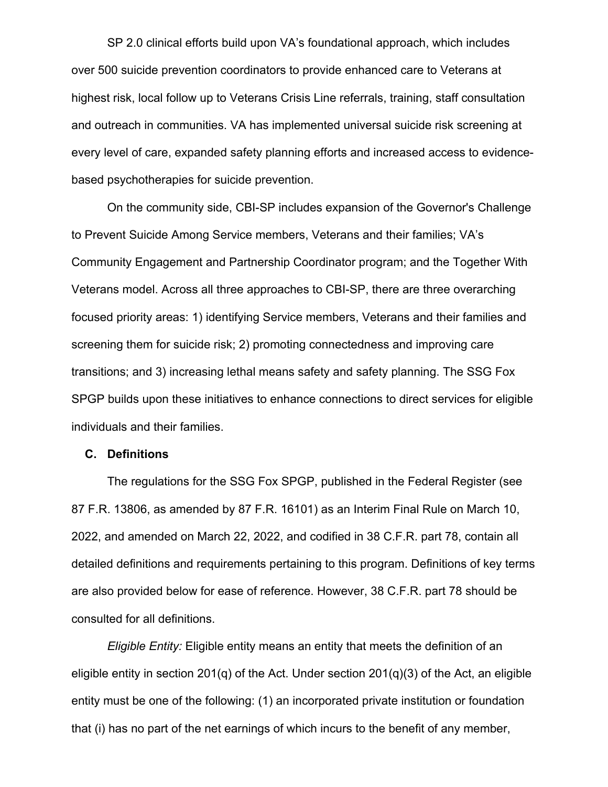SP 2.0 clinical efforts build upon VA's foundational approach, which includes over 500 suicide prevention coordinators to provide enhanced care to Veterans at highest risk, local follow up to Veterans Crisis Line referrals, training, staff consultation and outreach in communities. VA has implemented universal suicide risk screening at every level of care, expanded safety planning efforts and increased access to evidencebased psychotherapies for suicide prevention.

On the community side, CBI-SP includes expansion of the Governor's Challenge to Prevent Suicide Among Service members, Veterans and their families; VA's Community Engagement and Partnership Coordinator program; and the Together With Veterans model. Across all three approaches to CBI-SP, there are three overarching focused priority areas: 1) identifying Service members, Veterans and their families and screening them for suicide risk; 2) promoting connectedness and improving care transitions; and 3) increasing lethal means safety and safety planning. The SSG Fox SPGP builds upon these initiatives to enhance connections to direct services for eligible individuals and their families.

#### **C. Definitions**

The regulations for the SSG Fox SPGP, published in the Federal Register (see 87 F.R. 13806, as amended by 87 F.R. 16101) as an Interim Final Rule on March 10, 2022, and amended on March 22, 2022, and codified in 38 C.F.R. part 78, contain all detailed definitions and requirements pertaining to this program. Definitions of key terms are also provided below for ease of reference. However, 38 C.F.R. part 78 should be consulted for all definitions.

*Eligible Entity:* Eligible entity means an entity that meets the definition of an eligible entity in section 201(q) of the Act. Under section  $201(q)(3)$  of the Act, an eligible entity must be one of the following: (1) an incorporated private institution or foundation that (i) has no part of the net earnings of which incurs to the benefit of any member,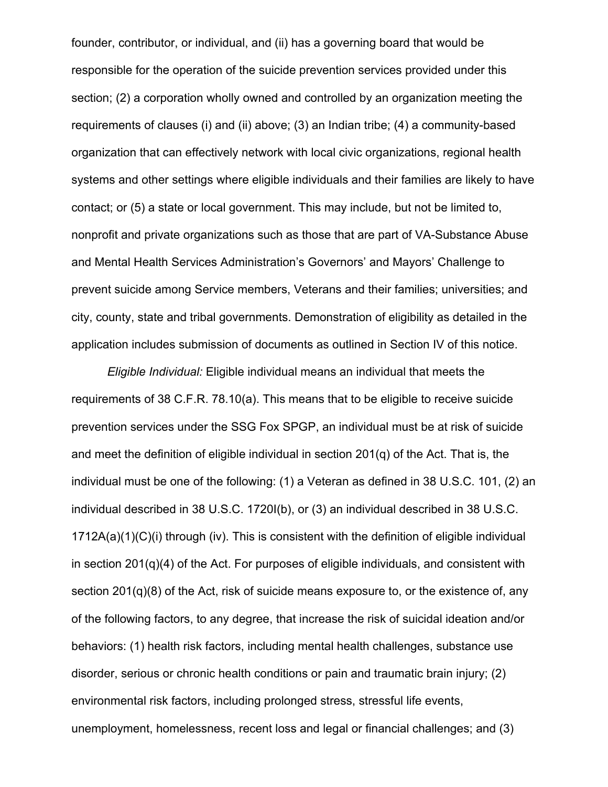founder, contributor, or individual, and (ii) has a governing board that would be responsible for the operation of the suicide prevention services provided under this section; (2) a corporation wholly owned and controlled by an organization meeting the requirements of clauses (i) and (ii) above; (3) an Indian tribe; (4) a community-based organization that can effectively network with local civic organizations, regional health systems and other settings where eligible individuals and their families are likely to have contact; or (5) a state or local government. This may include, but not be limited to, nonprofit and private organizations such as those that are part of VA-Substance Abuse and Mental Health Services Administration's Governors' and Mayors' Challenge to prevent suicide among Service members, Veterans and their families; universities; and city, county, state and tribal governments. Demonstration of eligibility as detailed in the application includes submission of documents as outlined in Section IV of this notice.

*Eligible Individual:* Eligible individual means an individual that meets the requirements of 38 C.F.R. 78.10(a). This means that to be eligible to receive suicide prevention services under the SSG Fox SPGP, an individual must be at risk of suicide and meet the definition of eligible individual in section  $201(q)$  of the Act. That is, the individual must be one of the following: (1) a Veteran as defined in 38 U.S.C. 101, (2) an individual described in 38 U.S.C. 1720I(b), or (3) an individual described in 38 U.S.C. 1712A(a)(1)(C)(i) through (iv). This is consistent with the definition of eligible individual in section  $201(q)(4)$  of the Act. For purposes of eligible individuals, and consistent with section 201(q)(8) of the Act, risk of suicide means exposure to, or the existence of, any of the following factors, to any degree, that increase the risk of suicidal ideation and/or behaviors: (1) health risk factors, including mental health challenges, substance use disorder, serious or chronic health conditions or pain and traumatic brain injury; (2) environmental risk factors, including prolonged stress, stressful life events, unemployment, homelessness, recent loss and legal or financial challenges; and (3)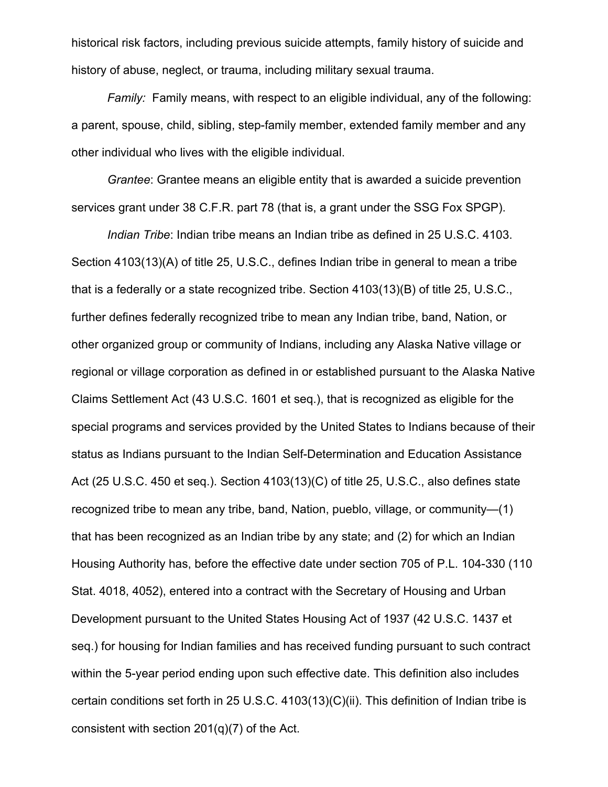historical risk factors, including previous suicide attempts, family history of suicide and history of abuse, neglect, or trauma, including military sexual trauma.

*Family:* Family means, with respect to an eligible individual, any of the following: a parent, spouse, child, sibling, step-family member, extended family member and any other individual who lives with the eligible individual.

*Grantee*: Grantee means an eligible entity that is awarded a suicide prevention services grant under 38 C.F.R. part 78 (that is, a grant under the SSG Fox SPGP).

*Indian Tribe*: Indian tribe means an Indian tribe as defined in 25 U.S.C. 4103. Section 4103(13)(A) of title 25, U.S.C., defines Indian tribe in general to mean a tribe that is a federally or a state recognized tribe. Section 4103(13)(B) of title 25, U.S.C., further defines federally recognized tribe to mean any Indian tribe, band, Nation, or other organized group or community of Indians, including any Alaska Native village or regional or village corporation as defined in or established pursuant to the Alaska Native Claims Settlement Act (43 U.S.C. 1601 et seq.), that is recognized as eligible for the special programs and services provided by the United States to Indians because of their status as Indians pursuant to the Indian Self-Determination and Education Assistance Act (25 U.S.C. 450 et seq.). Section 4103(13)(C) of title 25, U.S.C., also defines state recognized tribe to mean any tribe, band, Nation, pueblo, village, or community—(1) that has been recognized as an Indian tribe by any state; and (2) for which an Indian Housing Authority has, before the effective date under section 705 of P.L. 104-330 (110 Stat. 4018, 4052), entered into a contract with the Secretary of Housing and Urban Development pursuant to the United States Housing Act of 1937 (42 U.S.C. 1437 et seq.) for housing for Indian families and has received funding pursuant to such contract within the 5-year period ending upon such effective date. This definition also includes certain conditions set forth in 25 U.S.C. 4103(13)(C)(ii). This definition of Indian tribe is consistent with section 201(q)(7) of the Act.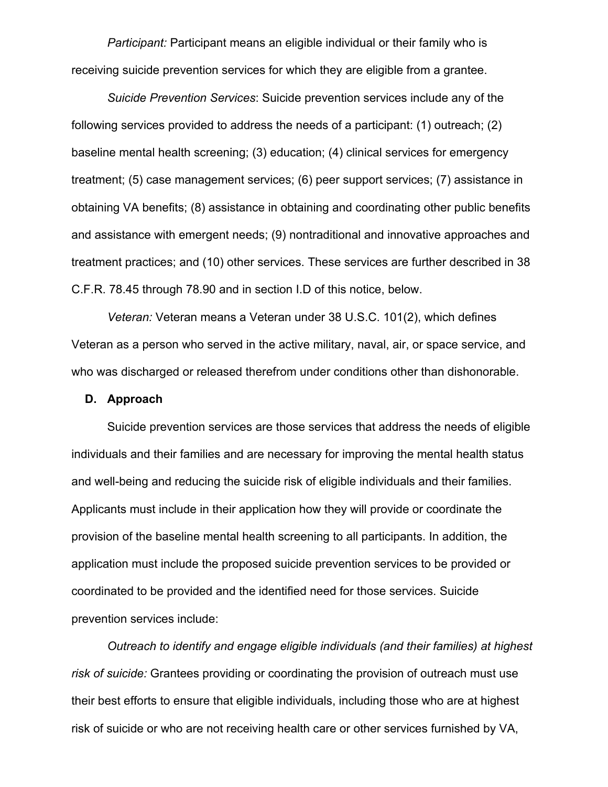*Participant:* Participant means an eligible individual or their family who is receiving suicide prevention services for which they are eligible from a grantee.

*Suicide Prevention Services*: Suicide prevention services include any of the following services provided to address the needs of a participant: (1) outreach; (2) baseline mental health screening; (3) education; (4) clinical services for emergency treatment; (5) case management services; (6) peer support services; (7) assistance in obtaining VA benefits; (8) assistance in obtaining and coordinating other public benefits and assistance with emergent needs; (9) nontraditional and innovative approaches and treatment practices; and (10) other services. These services are further described in 38 C.F.R. 78.45 through 78.90 and in section I.D of this notice, below.

*Veteran:* Veteran means a Veteran under 38 U.S.C. 101(2), which defines Veteran as a person who served in the active military, naval, air, or space service, and who was discharged or released therefrom under conditions other than dishonorable.

#### **D. Approach**

Suicide prevention services are those services that address the needs of eligible individuals and their families and are necessary for improving the mental health status and well-being and reducing the suicide risk of eligible individuals and their families. Applicants must include in their application how they will provide or coordinate the provision of the baseline mental health screening to all participants. In addition, the application must include the proposed suicide prevention services to be provided or coordinated to be provided and the identified need for those services. Suicide prevention services include:

*Outreach to identify and engage eligible individuals (and their families) at highest risk of suicide:* Grantees providing or coordinating the provision of outreach must use their best efforts to ensure that eligible individuals, including those who are at highest risk of suicide or who are not receiving health care or other services furnished by VA,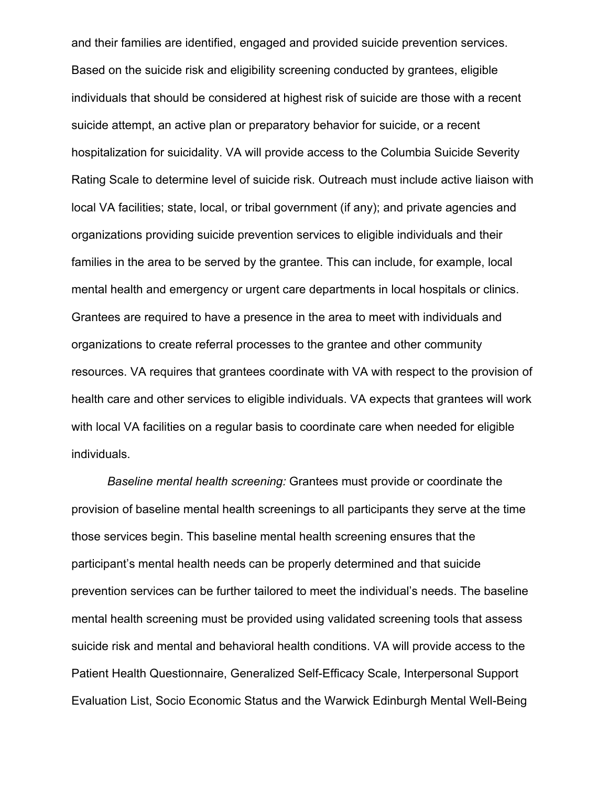and their families are identified, engaged and provided suicide prevention services. Based on the suicide risk and eligibility screening conducted by grantees, eligible individuals that should be considered at highest risk of suicide are those with a recent suicide attempt, an active plan or preparatory behavior for suicide, or a recent hospitalization for suicidality. VA will provide access to the Columbia Suicide Severity Rating Scale to determine level of suicide risk. Outreach must include active liaison with local VA facilities; state, local, or tribal government (if any); and private agencies and organizations providing suicide prevention services to eligible individuals and their families in the area to be served by the grantee. This can include, for example, local mental health and emergency or urgent care departments in local hospitals or clinics. Grantees are required to have a presence in the area to meet with individuals and organizations to create referral processes to the grantee and other community resources. VA requires that grantees coordinate with VA with respect to the provision of health care and other services to eligible individuals. VA expects that grantees will work with local VA facilities on a regular basis to coordinate care when needed for eligible individuals.

*Baseline mental health screening:* Grantees must provide or coordinate the provision of baseline mental health screenings to all participants they serve at the time those services begin. This baseline mental health screening ensures that the participant's mental health needs can be properly determined and that suicide prevention services can be further tailored to meet the individual's needs. The baseline mental health screening must be provided using validated screening tools that assess suicide risk and mental and behavioral health conditions. VA will provide access to the Patient Health Questionnaire, Generalized Self-Efficacy Scale, Interpersonal Support Evaluation List, Socio Economic Status and the Warwick Edinburgh Mental Well-Being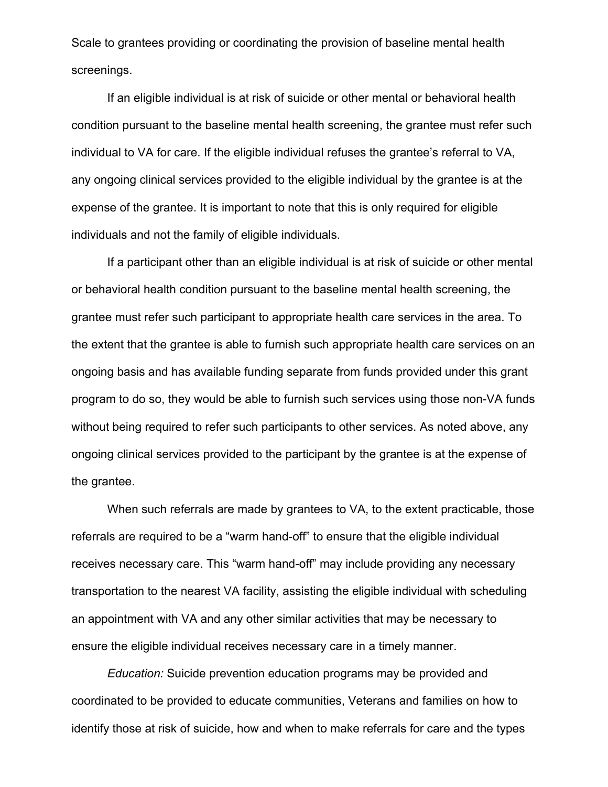Scale to grantees providing or coordinating the provision of baseline mental health screenings.

If an eligible individual is at risk of suicide or other mental or behavioral health condition pursuant to the baseline mental health screening, the grantee must refer such individual to VA for care. If the eligible individual refuses the grantee's referral to VA, any ongoing clinical services provided to the eligible individual by the grantee is at the expense of the grantee. It is important to note that this is only required for eligible individuals and not the family of eligible individuals.

If a participant other than an eligible individual is at risk of suicide or other mental or behavioral health condition pursuant to the baseline mental health screening, the grantee must refer such participant to appropriate health care services in the area. To the extent that the grantee is able to furnish such appropriate health care services on an ongoing basis and has available funding separate from funds provided under this grant program to do so, they would be able to furnish such services using those non-VA funds without being required to refer such participants to other services. As noted above, any ongoing clinical services provided to the participant by the grantee is at the expense of the grantee.

When such referrals are made by grantees to VA, to the extent practicable, those referrals are required to be a "warm hand-off" to ensure that the eligible individual receives necessary care. This "warm hand-off" may include providing any necessary transportation to the nearest VA facility, assisting the eligible individual with scheduling an appointment with VA and any other similar activities that may be necessary to ensure the eligible individual receives necessary care in a timely manner.

*Education:* Suicide prevention education programs may be provided and coordinated to be provided to educate communities, Veterans and families on how to identify those at risk of suicide, how and when to make referrals for care and the types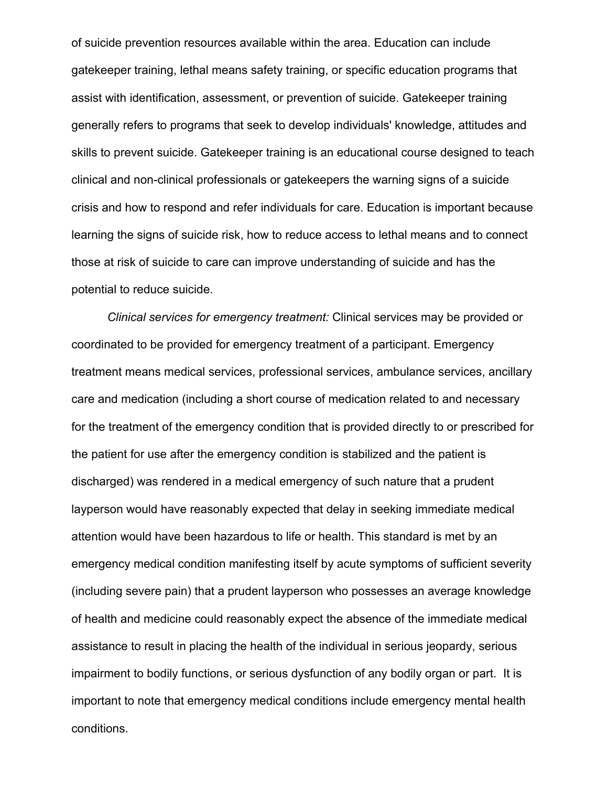of suicide prevention resources available within the area. Education can include gatekeeper training, lethal means safety training, or specific education programs that assist with identification, assessment, or prevention of suicide. Gatekeeper training generally refers to programs that seek to develop individuals' knowledge, attitudes and skills to prevent suicide. Gatekeeper training is an educational course designed to teach clinical and non-clinical professionals or gatekeepers the warning signs of a suicide crisis and how to respond and refer individuals for care. Education is important because learning the signs of suicide risk, how to reduce access to lethal means and to connect those at risk of suicide to care can improve understanding of suicide and has the potential to reduce suicide.

*Clinical services for emergency treatment:* Clinical services may be provided or coordinated to be provided for emergency treatment of a participant. Emergency treatment means medical services, professional services, ambulance services, ancillary care and medication (including a short course of medication related to and necessary for the treatment of the emergency condition that is provided directly to or prescribed for the patient for use after the emergency condition is stabilized and the patient is discharged) was rendered in a medical emergency of such nature that a prudent layperson would have reasonably expected that delay in seeking immediate medical attention would have been hazardous to life or health. This standard is met by an emergency medical condition manifesting itself by acute symptoms of sufficient severity (including severe pain) that a prudent layperson who possesses an average knowledge of health and medicine could reasonably expect the absence of the immediate medical assistance to result in placing the health of the individual in serious jeopardy, serious impairment to bodily functions, or serious dysfunction of any bodily organ or part. It is important to note that emergency medical conditions include emergency mental health conditions.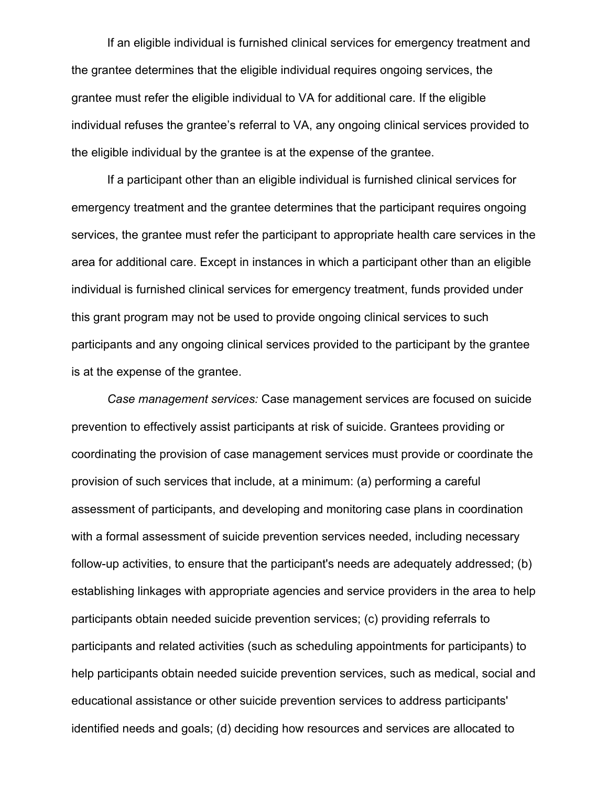If an eligible individual is furnished clinical services for emergency treatment and the grantee determines that the eligible individual requires ongoing services, the grantee must refer the eligible individual to VA for additional care. If the eligible individual refuses the grantee's referral to VA, any ongoing clinical services provided to the eligible individual by the grantee is at the expense of the grantee.

If a participant other than an eligible individual is furnished clinical services for emergency treatment and the grantee determines that the participant requires ongoing services, the grantee must refer the participant to appropriate health care services in the area for additional care. Except in instances in which a participant other than an eligible individual is furnished clinical services for emergency treatment, funds provided under this grant program may not be used to provide ongoing clinical services to such participants and any ongoing clinical services provided to the participant by the grantee is at the expense of the grantee.

*Case management services:* Case management services are focused on suicide prevention to effectively assist participants at risk of suicide. Grantees providing or coordinating the provision of case management services must provide or coordinate the provision of such services that include, at a minimum: (a) performing a careful assessment of participants, and developing and monitoring case plans in coordination with a formal assessment of suicide prevention services needed, including necessary follow-up activities, to ensure that the participant's needs are adequately addressed; (b) establishing linkages with appropriate agencies and service providers in the area to help participants obtain needed suicide prevention services; (c) providing referrals to participants and related activities (such as scheduling appointments for participants) to help participants obtain needed suicide prevention services, such as medical, social and educational assistance or other suicide prevention services to address participants' identified needs and goals; (d) deciding how resources and services are allocated to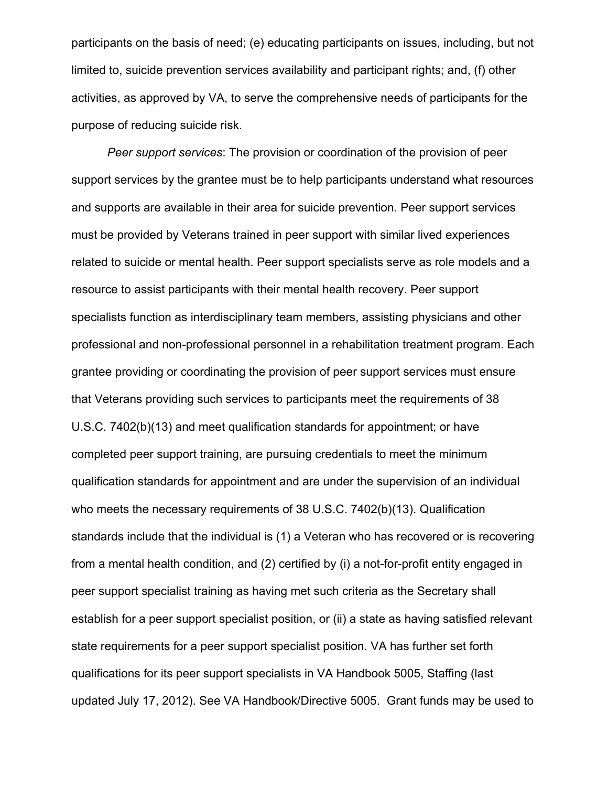participants on the basis of need; (e) educating participants on issues, including, but not limited to, suicide prevention services availability and participant rights; and, (f) other activities, as approved by VA, to serve the comprehensive needs of participants for the purpose of reducing suicide risk.

*Peer support services*: The provision or coordination of the provision of peer support services by the grantee must be to help participants understand what resources and supports are available in their area for suicide prevention. Peer support services must be provided by Veterans trained in peer support with similar lived experiences related to suicide or mental health. Peer support specialists serve as role models and a resource to assist participants with their mental health recovery. Peer support specialists function as interdisciplinary team members, assisting physicians and other professional and non-professional personnel in a rehabilitation treatment program. Each grantee providing or coordinating the provision of peer support services must ensure that Veterans providing such services to participants meet the requirements of 38 U.S.C. 7402(b)(13) and meet qualification standards for appointment; or have completed peer support training, are pursuing credentials to meet the minimum qualification standards for appointment and are under the supervision of an individual who meets the necessary requirements of 38 U.S.C. 7402(b)(13). Qualification standards include that the individual is (1) a Veteran who has recovered or is recovering from a mental health condition, and (2) certified by (i) a not-for-profit entity engaged in peer support specialist training as having met such criteria as the Secretary shall establish for a peer support specialist position, or (ii) a state as having satisfied relevant state requirements for a peer support specialist position. VA has further set forth qualifications for its peer support specialists in VA Handbook 5005, Staffing (last updated July 17, 2012). See VA Handbook/Directive 5005. Grant funds may be used to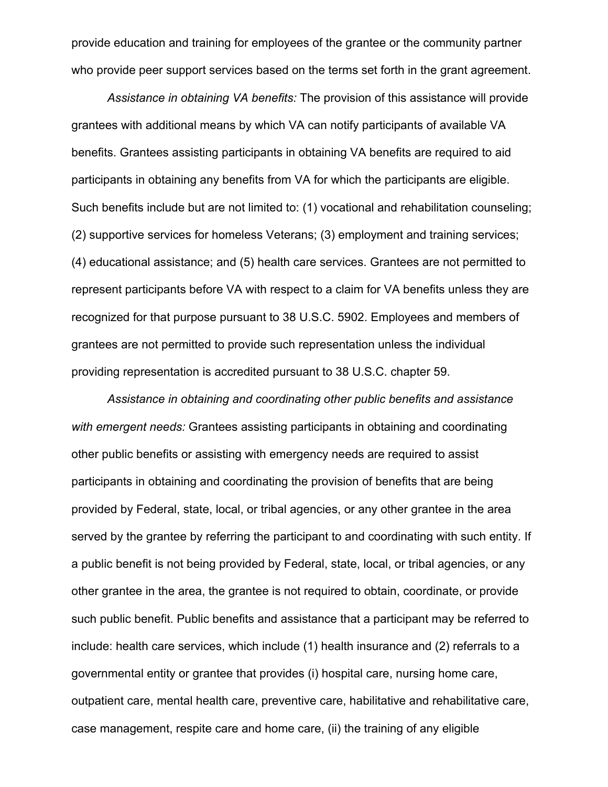provide education and training for employees of the grantee or the community partner who provide peer support services based on the terms set forth in the grant agreement.

*Assistance in obtaining VA benefits:* The provision of this assistance will provide grantees with additional means by which VA can notify participants of available VA benefits. Grantees assisting participants in obtaining VA benefits are required to aid participants in obtaining any benefits from VA for which the participants are eligible. Such benefits include but are not limited to: (1) vocational and rehabilitation counseling; (2) supportive services for homeless Veterans; (3) employment and training services; (4) educational assistance; and (5) health care services. Grantees are not permitted to represent participants before VA with respect to a claim for VA benefits unless they are recognized for that purpose pursuant to 38 U.S.C. 5902. Employees and members of grantees are not permitted to provide such representation unless the individual providing representation is accredited pursuant to 38 U.S.C. chapter 59.

*Assistance in obtaining and coordinating other public benefits and assistance with emergent needs:* Grantees assisting participants in obtaining and coordinating other public benefits or assisting with emergency needs are required to assist participants in obtaining and coordinating the provision of benefits that are being provided by Federal, state, local, or tribal agencies, or any other grantee in the area served by the grantee by referring the participant to and coordinating with such entity. If a public benefit is not being provided by Federal, state, local, or tribal agencies, or any other grantee in the area, the grantee is not required to obtain, coordinate, or provide such public benefit. Public benefits and assistance that a participant may be referred to include: health care services, which include (1) health insurance and (2) referrals to a governmental entity or grantee that provides (i) hospital care, nursing home care, outpatient care, mental health care, preventive care, habilitative and rehabilitative care, case management, respite care and home care, (ii) the training of any eligible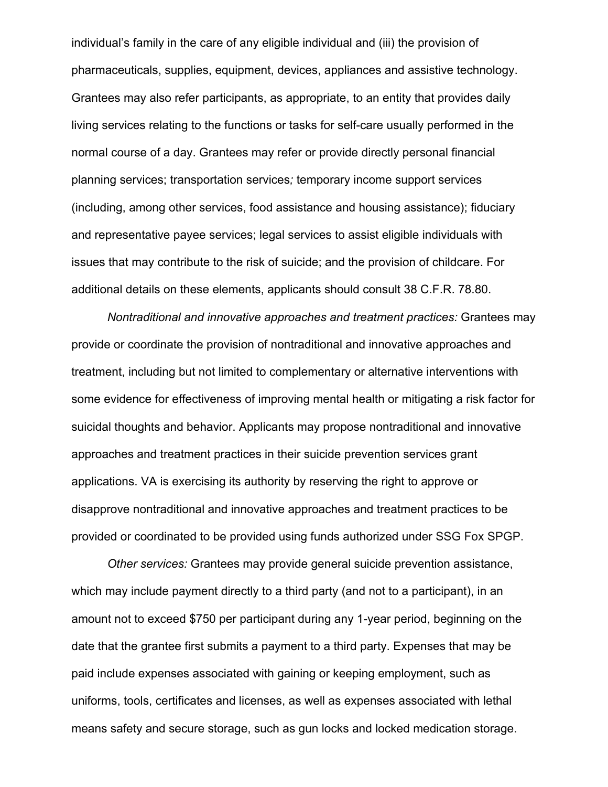individual's family in the care of any eligible individual and (iii) the provision of pharmaceuticals, supplies, equipment, devices, appliances and assistive technology. Grantees may also refer participants, as appropriate, to an entity that provides daily living services relating to the functions or tasks for self-care usually performed in the normal course of a day. Grantees may refer or provide directly personal financial planning services; transportation services*;* temporary income support services (including, among other services, food assistance and housing assistance); fiduciary and representative payee services; legal services to assist eligible individuals with issues that may contribute to the risk of suicide; and the provision of childcare. For additional details on these elements, applicants should consult 38 C.F.R. 78.80.

*Nontraditional and innovative approaches and treatment practices:* Grantees may provide or coordinate the provision of nontraditional and innovative approaches and treatment, including but not limited to complementary or alternative interventions with some evidence for effectiveness of improving mental health or mitigating a risk factor for suicidal thoughts and behavior. Applicants may propose nontraditional and innovative approaches and treatment practices in their suicide prevention services grant applications. VA is exercising its authority by reserving the right to approve or disapprove nontraditional and innovative approaches and treatment practices to be provided or coordinated to be provided using funds authorized under SSG Fox SPGP.

*Other services:* Grantees may provide general suicide prevention assistance, which may include payment directly to a third party (and not to a participant), in an amount not to exceed \$750 per participant during any 1-year period, beginning on the date that the grantee first submits a payment to a third party. Expenses that may be paid include expenses associated with gaining or keeping employment, such as uniforms, tools, certificates and licenses, as well as expenses associated with lethal means safety and secure storage, such as gun locks and locked medication storage.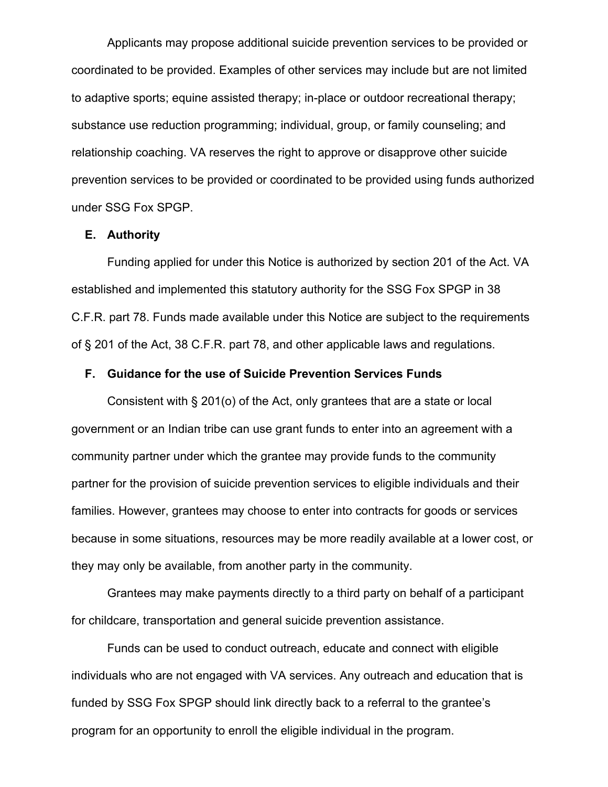Applicants may propose additional suicide prevention services to be provided or coordinated to be provided. Examples of other services may include but are not limited to adaptive sports; equine assisted therapy; in-place or outdoor recreational therapy; substance use reduction programming; individual, group, or family counseling; and relationship coaching. VA reserves the right to approve or disapprove other suicide prevention services to be provided or coordinated to be provided using funds authorized under SSG Fox SPGP.

#### **E. Authority**

Funding applied for under this Notice is authorized by section 201 of the Act. VA established and implemented this statutory authority for the SSG Fox SPGP in 38 C.F.R. part 78. Funds made available under this Notice are subject to the requirements of § 201 of the Act, 38 C.F.R. part 78, and other applicable laws and regulations.

#### **F. Guidance for the use of Suicide Prevention Services Funds**

Consistent with § 201(o) of the Act, only grantees that are a state or local government or an Indian tribe can use grant funds to enter into an agreement with a community partner under which the grantee may provide funds to the community partner for the provision of suicide prevention services to eligible individuals and their families. However, grantees may choose to enter into contracts for goods or services because in some situations, resources may be more readily available at a lower cost, or they may only be available, from another party in the community.

Grantees may make payments directly to a third party on behalf of a participant for childcare, transportation and general suicide prevention assistance.

Funds can be used to conduct outreach, educate and connect with eligible individuals who are not engaged with VA services. Any outreach and education that is funded by SSG Fox SPGP should link directly back to a referral to the grantee's program for an opportunity to enroll the eligible individual in the program.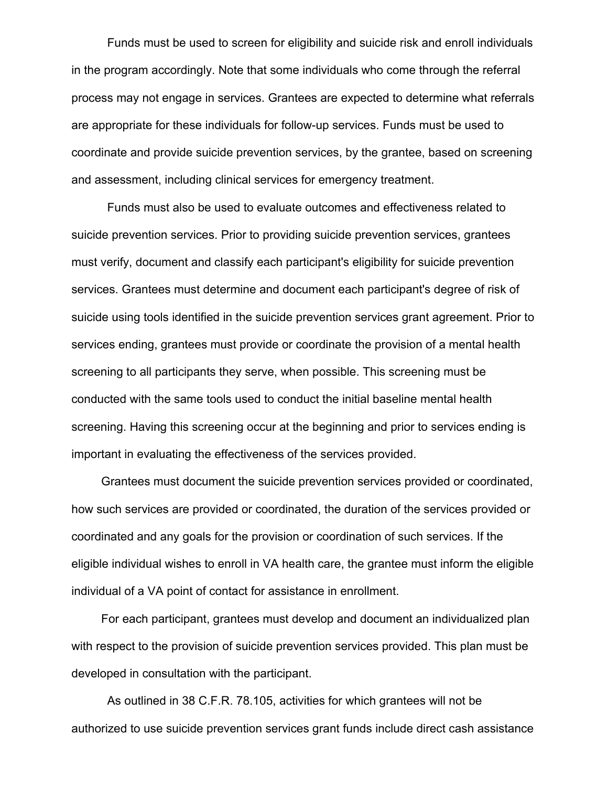Funds must be used to screen for eligibility and suicide risk and enroll individuals in the program accordingly. Note that some individuals who come through the referral process may not engage in services. Grantees are expected to determine what referrals are appropriate for these individuals for follow-up services. Funds must be used to coordinate and provide suicide prevention services, by the grantee, based on screening and assessment, including clinical services for emergency treatment.

Funds must also be used to evaluate outcomes and effectiveness related to suicide prevention services. Prior to providing suicide prevention services, grantees must verify, document and classify each participant's eligibility for suicide prevention services. Grantees must determine and document each participant's degree of risk of suicide using tools identified in the suicide prevention services grant agreement. Prior to services ending, grantees must provide or coordinate the provision of a mental health screening to all participants they serve, when possible. This screening must be conducted with the same tools used to conduct the initial baseline mental health screening. Having this screening occur at the beginning and prior to services ending is important in evaluating the effectiveness of the services provided.

Grantees must document the suicide prevention services provided or coordinated, how such services are provided or coordinated, the duration of the services provided or coordinated and any goals for the provision or coordination of such services. If the eligible individual wishes to enroll in VA health care, the grantee must inform the eligible individual of a VA point of contact for assistance in enrollment.

For each participant, grantees must develop and document an individualized plan with respect to the provision of suicide prevention services provided. This plan must be developed in consultation with the participant.

As outlined in 38 C.F.R. 78.105, activities for which grantees will not be authorized to use suicide prevention services grant funds include direct cash assistance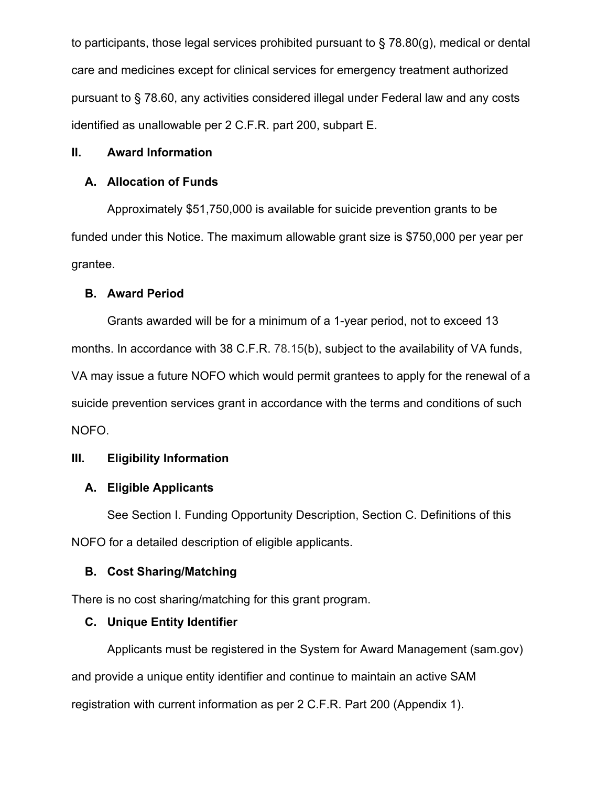to participants, those legal services prohibited pursuant to § 78.80(g), medical or dental care and medicines except for clinical services for emergency treatment authorized pursuant to § 78.60, any activities considered illegal under Federal law and any costs identified as unallowable per 2 C.F.R. part 200, subpart E.

## **II. Award Information**

# **A. Allocation of Funds**

Approximately \$51,750,000 is available for suicide prevention grants to be funded under this Notice. The maximum allowable grant size is \$750,000 per year per grantee.

## **B. Award Period**

Grants awarded will be for a minimum of a 1-year period, not to exceed 13 months. In accordance with 38 C.F.R. 78.15(b), subject to the availability of VA funds, VA may issue a future NOFO which would permit grantees to apply for the renewal of a suicide prevention services grant in accordance with the terms and conditions of such NOFO.

# **III. Eligibility Information**

# **A. Eligible Applicants**

See Section I. Funding Opportunity Description, Section C. Definitions of this NOFO for a detailed description of eligible applicants.

# **B. Cost Sharing/Matching**

There is no cost sharing/matching for this grant program.

# **C. Unique Entity Identifier**

Applicants must be registered in the System for Award Management (sam.gov) and provide a unique entity identifier and continue to maintain an active SAM registration with current information as per 2 C.F.R. Part 200 (Appendix 1).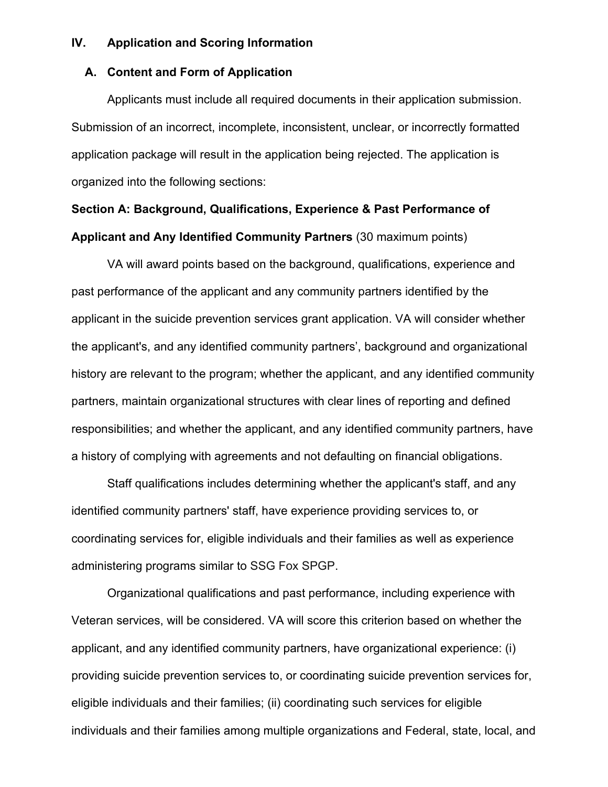## **IV. Application and Scoring Information**

# **A. Content and Form of Application**

Applicants must include all required documents in their application submission. Submission of an incorrect, incomplete, inconsistent, unclear, or incorrectly formatted application package will result in the application being rejected. The application is organized into the following sections:

# **Section A: Background, Qualifications, Experience & Past Performance of Applicant and Any Identified Community Partners** (30 maximum points)

VA will award points based on the background, qualifications, experience and past performance of the applicant and any community partners identified by the applicant in the suicide prevention services grant application. VA will consider whether the applicant's, and any identified community partners', background and organizational history are relevant to the program; whether the applicant, and any identified community partners, maintain organizational structures with clear lines of reporting and defined responsibilities; and whether the applicant, and any identified community partners, have a history of complying with agreements and not defaulting on financial obligations.

Staff qualifications includes determining whether the applicant's staff, and any identified community partners' staff, have experience providing services to, or coordinating services for, eligible individuals and their families as well as experience administering programs similar to SSG Fox SPGP.

Organizational qualifications and past performance, including experience with Veteran services, will be considered. VA will score this criterion based on whether the applicant, and any identified community partners, have organizational experience: (i) providing suicide prevention services to, or coordinating suicide prevention services for, eligible individuals and their families; (ii) coordinating such services for eligible individuals and their families among multiple organizations and Federal, state, local, and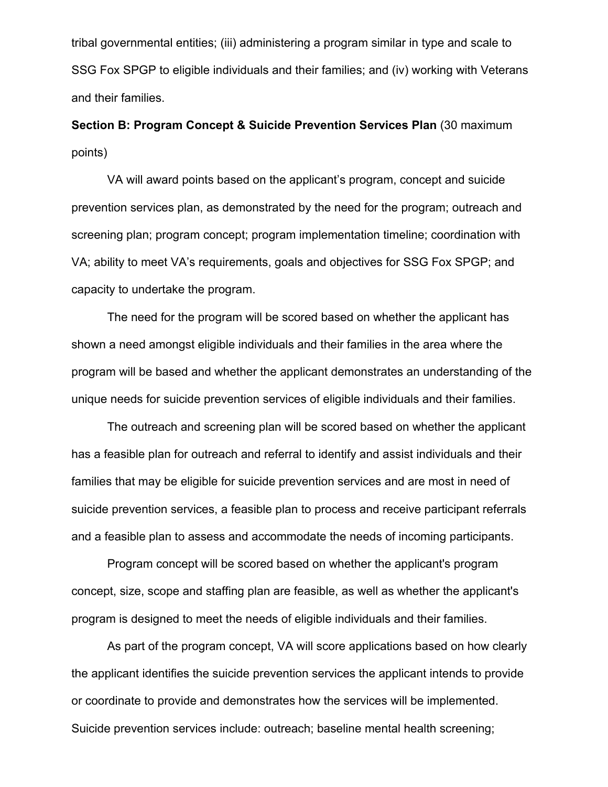tribal governmental entities; (iii) administering a program similar in type and scale to SSG Fox SPGP to eligible individuals and their families; and (iv) working with Veterans and their families.

**Section B: Program Concept & Suicide Prevention Services Plan** (30 maximum points)

VA will award points based on the applicant's program, concept and suicide prevention services plan, as demonstrated by the need for the program; outreach and screening plan; program concept; program implementation timeline; coordination with VA; ability to meet VA's requirements, goals and objectives for SSG Fox SPGP; and capacity to undertake the program.

The need for the program will be scored based on whether the applicant has shown a need amongst eligible individuals and their families in the area where the program will be based and whether the applicant demonstrates an understanding of the unique needs for suicide prevention services of eligible individuals and their families.

The outreach and screening plan will be scored based on whether the applicant has a feasible plan for outreach and referral to identify and assist individuals and their families that may be eligible for suicide prevention services and are most in need of suicide prevention services, a feasible plan to process and receive participant referrals and a feasible plan to assess and accommodate the needs of incoming participants.

Program concept will be scored based on whether the applicant's program concept, size, scope and staffing plan are feasible, as well as whether the applicant's program is designed to meet the needs of eligible individuals and their families.

As part of the program concept, VA will score applications based on how clearly the applicant identifies the suicide prevention services the applicant intends to provide or coordinate to provide and demonstrates how the services will be implemented. Suicide prevention services include: outreach; baseline mental health screening;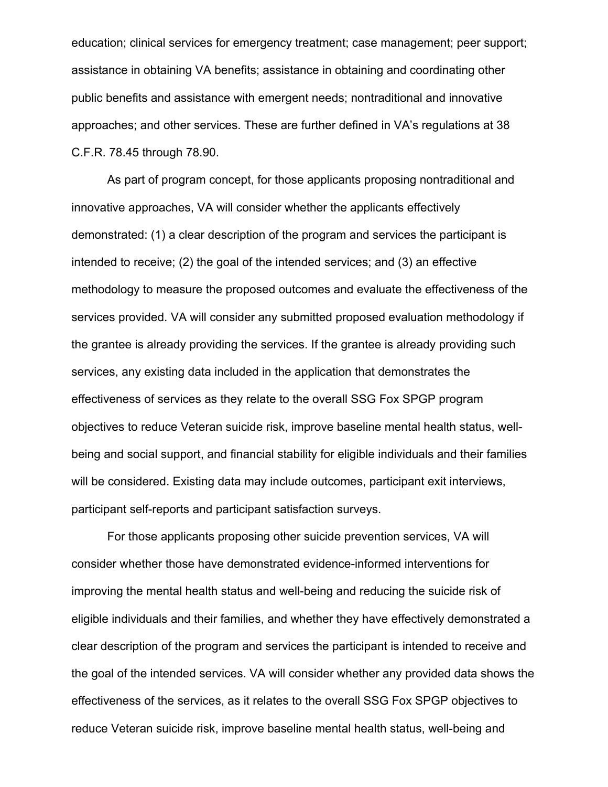education; clinical services for emergency treatment; case management; peer support; assistance in obtaining VA benefits; assistance in obtaining and coordinating other public benefits and assistance with emergent needs; nontraditional and innovative approaches; and other services. These are further defined in VA's regulations at 38 C.F.R. 78.45 through 78.90.

As part of program concept, for those applicants proposing nontraditional and innovative approaches, VA will consider whether the applicants effectively demonstrated: (1) a clear description of the program and services the participant is intended to receive; (2) the goal of the intended services; and (3) an effective methodology to measure the proposed outcomes and evaluate the effectiveness of the services provided. VA will consider any submitted proposed evaluation methodology if the grantee is already providing the services. If the grantee is already providing such services, any existing data included in the application that demonstrates the effectiveness of services as they relate to the overall SSG Fox SPGP program objectives to reduce Veteran suicide risk, improve baseline mental health status, wellbeing and social support, and financial stability for eligible individuals and their families will be considered. Existing data may include outcomes, participant exit interviews, participant self-reports and participant satisfaction surveys.

For those applicants proposing other suicide prevention services, VA will consider whether those have demonstrated evidence-informed interventions for improving the mental health status and well-being and reducing the suicide risk of eligible individuals and their families, and whether they have effectively demonstrated a clear description of the program and services the participant is intended to receive and the goal of the intended services. VA will consider whether any provided data shows the effectiveness of the services, as it relates to the overall SSG Fox SPGP objectives to reduce Veteran suicide risk, improve baseline mental health status, well-being and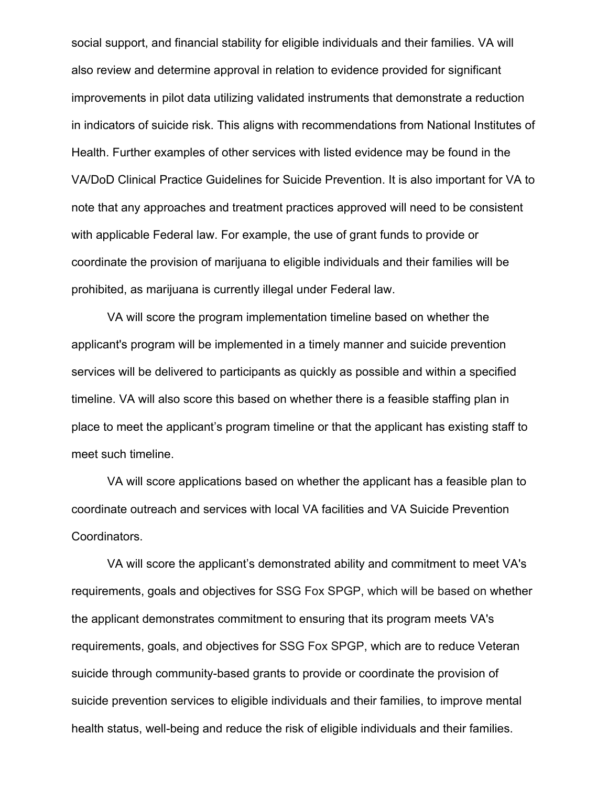social support, and financial stability for eligible individuals and their families. VA will also review and determine approval in relation to evidence provided for significant improvements in pilot data utilizing validated instruments that demonstrate a reduction in indicators of suicide risk. This aligns with recommendations from National Institutes of Health. Further examples of other services with listed evidence may be found in the VA/DoD Clinical Practice Guidelines for Suicide Prevention. It is also important for VA to note that any approaches and treatment practices approved will need to be consistent with applicable Federal law. For example, the use of grant funds to provide or coordinate the provision of marijuana to eligible individuals and their families will be prohibited, as marijuana is currently illegal under Federal law.

VA will score the program implementation timeline based on whether the applicant's program will be implemented in a timely manner and suicide prevention services will be delivered to participants as quickly as possible and within a specified timeline. VA will also score this based on whether there is a feasible staffing plan in place to meet the applicant's program timeline or that the applicant has existing staff to meet such timeline.

VA will score applications based on whether the applicant has a feasible plan to coordinate outreach and services with local VA facilities and VA Suicide Prevention Coordinators.

VA will score the applicant's demonstrated ability and commitment to meet VA's requirements, goals and objectives for SSG Fox SPGP, which will be based on whether the applicant demonstrates commitment to ensuring that its program meets VA's requirements, goals, and objectives for SSG Fox SPGP, which are to reduce Veteran suicide through community-based grants to provide or coordinate the provision of suicide prevention services to eligible individuals and their families, to improve mental health status, well-being and reduce the risk of eligible individuals and their families.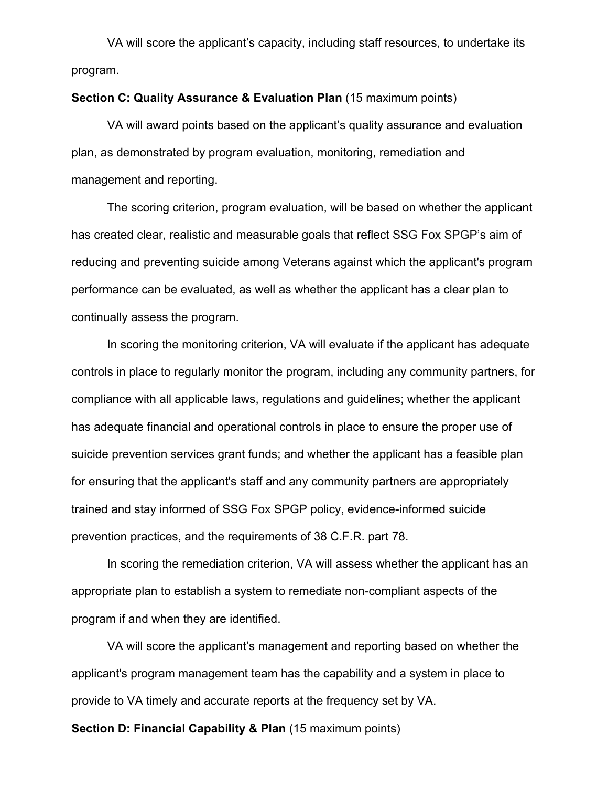VA will score the applicant's capacity, including staff resources, to undertake its program.

#### **Section C: Quality Assurance & Evaluation Plan** (15 maximum points)

VA will award points based on the applicant's quality assurance and evaluation plan, as demonstrated by program evaluation, monitoring, remediation and management and reporting.

The scoring criterion, program evaluation, will be based on whether the applicant has created clear, realistic and measurable goals that reflect SSG Fox SPGP's aim of reducing and preventing suicide among Veterans against which the applicant's program performance can be evaluated, as well as whether the applicant has a clear plan to continually assess the program.

In scoring the monitoring criterion, VA will evaluate if the applicant has adequate controls in place to regularly monitor the program, including any community partners, for compliance with all applicable laws, regulations and guidelines; whether the applicant has adequate financial and operational controls in place to ensure the proper use of suicide prevention services grant funds; and whether the applicant has a feasible plan for ensuring that the applicant's staff and any community partners are appropriately trained and stay informed of SSG Fox SPGP policy, evidence-informed suicide prevention practices, and the requirements of 38 C.F.R. part 78.

In scoring the remediation criterion, VA will assess whether the applicant has an appropriate plan to establish a system to remediate non-compliant aspects of the program if and when they are identified.

VA will score the applicant's management and reporting based on whether the applicant's program management team has the capability and a system in place to provide to VA timely and accurate reports at the frequency set by VA.

**Section D: Financial Capability & Plan** (15 maximum points)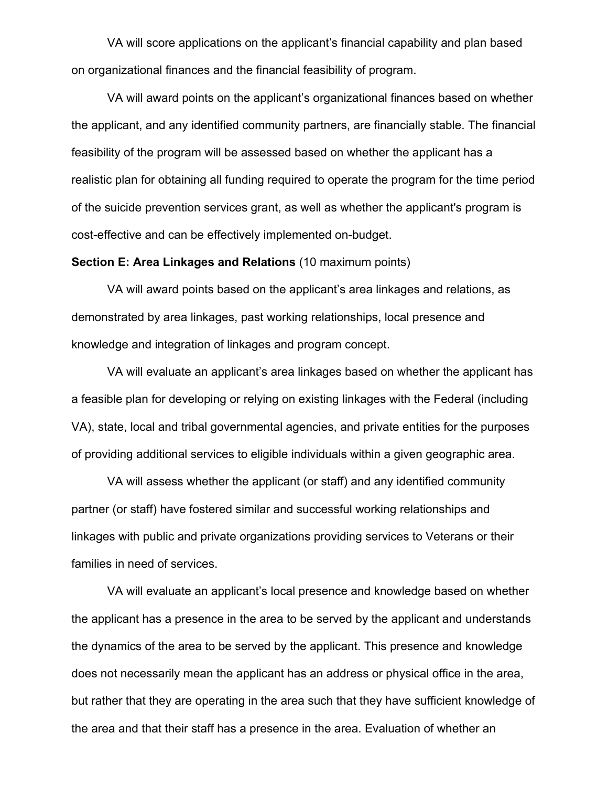VA will score applications on the applicant's financial capability and plan based on organizational finances and the financial feasibility of program.

VA will award points on the applicant's organizational finances based on whether the applicant, and any identified community partners, are financially stable. The financial feasibility of the program will be assessed based on whether the applicant has a realistic plan for obtaining all funding required to operate the program for the time period of the suicide prevention services grant, as well as whether the applicant's program is cost-effective and can be effectively implemented on-budget.

#### **Section E: Area Linkages and Relations** (10 maximum points)

VA will award points based on the applicant's area linkages and relations, as demonstrated by area linkages, past working relationships, local presence and knowledge and integration of linkages and program concept.

VA will evaluate an applicant's area linkages based on whether the applicant has a feasible plan for developing or relying on existing linkages with the Federal (including VA), state, local and tribal governmental agencies, and private entities for the purposes of providing additional services to eligible individuals within a given geographic area.

VA will assess whether the applicant (or staff) and any identified community partner (or staff) have fostered similar and successful working relationships and linkages with public and private organizations providing services to Veterans or their families in need of services.

VA will evaluate an applicant's local presence and knowledge based on whether the applicant has a presence in the area to be served by the applicant and understands the dynamics of the area to be served by the applicant. This presence and knowledge does not necessarily mean the applicant has an address or physical office in the area, but rather that they are operating in the area such that they have sufficient knowledge of the area and that their staff has a presence in the area. Evaluation of whether an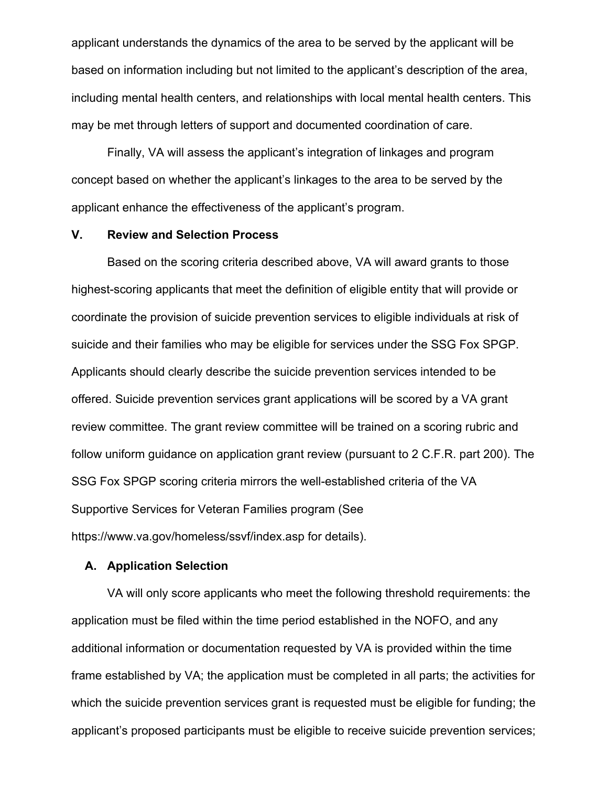applicant understands the dynamics of the area to be served by the applicant will be based on information including but not limited to the applicant's description of the area, including mental health centers, and relationships with local mental health centers. This may be met through letters of support and documented coordination of care.

Finally, VA will assess the applicant's integration of linkages and program concept based on whether the applicant's linkages to the area to be served by the applicant enhance the effectiveness of the applicant's program.

#### **V. Review and Selection Process**

Based on the scoring criteria described above, VA will award grants to those highest-scoring applicants that meet the definition of eligible entity that will provide or coordinate the provision of suicide prevention services to eligible individuals at risk of suicide and their families who may be eligible for services under the SSG Fox SPGP. Applicants should clearly describe the suicide prevention services intended to be offered. Suicide prevention services grant applications will be scored by a VA grant review committee. The grant review committee will be trained on a scoring rubric and follow uniform guidance on application grant review (pursuant to 2 C.F.R. part 200). The SSG Fox SPGP scoring criteria mirrors the well-established criteria of the VA Supportive Services for Veteran Families program (See https://www.va.gov/homeless/ssvf/index.asp for details).

## **A. Application Selection**

VA will only score applicants who meet the following threshold requirements: the application must be filed within the time period established in the NOFO, and any additional information or documentation requested by VA is provided within the time frame established by VA; the application must be completed in all parts; the activities for which the suicide prevention services grant is requested must be eligible for funding; the applicant's proposed participants must be eligible to receive suicide prevention services;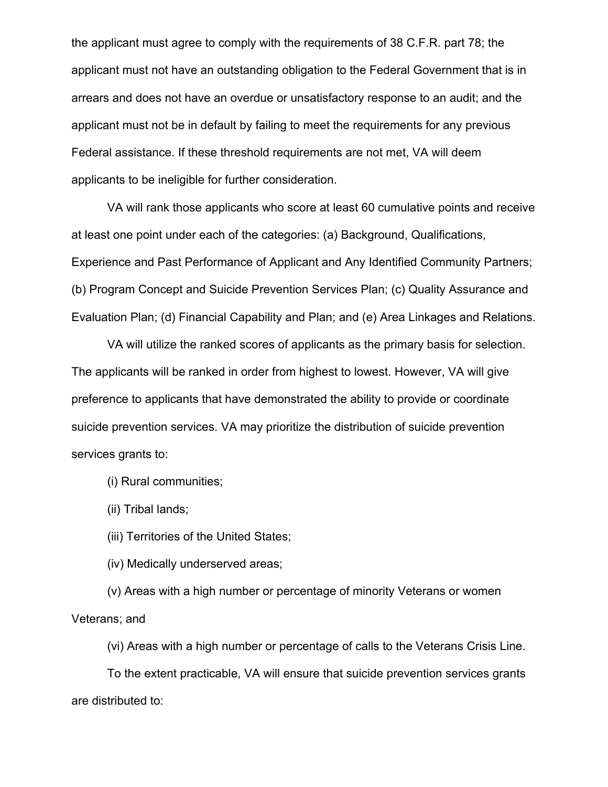the applicant must agree to comply with the requirements of 38 C.F.R. part 78; the applicant must not have an outstanding obligation to the Federal Government that is in arrears and does not have an overdue or unsatisfactory response to an audit; and the applicant must not be in default by failing to meet the requirements for any previous Federal assistance. If these threshold requirements are not met, VA will deem applicants to be ineligible for further consideration.

VA will rank those applicants who score at least 60 cumulative points and receive at least one point under each of the categories: (a) Background, Qualifications, Experience and Past Performance of Applicant and Any Identified Community Partners; (b) Program Concept and Suicide Prevention Services Plan; (c) Quality Assurance and Evaluation Plan; (d) Financial Capability and Plan; and (e) Area Linkages and Relations.

VA will utilize the ranked scores of applicants as the primary basis for selection. The applicants will be ranked in order from highest to lowest. However, VA will give preference to applicants that have demonstrated the ability to provide or coordinate suicide prevention services. VA may prioritize the distribution of suicide prevention services grants to:

(i) Rural communities;

(ii) Tribal lands;

(iii) Territories of the United States;

(iv) Medically underserved areas;

(v) Areas with a high number or percentage of minority Veterans or women Veterans; and

(vi) Areas with a high number or percentage of calls to the Veterans Crisis Line.

To the extent practicable, VA will ensure that suicide prevention services grants are distributed to: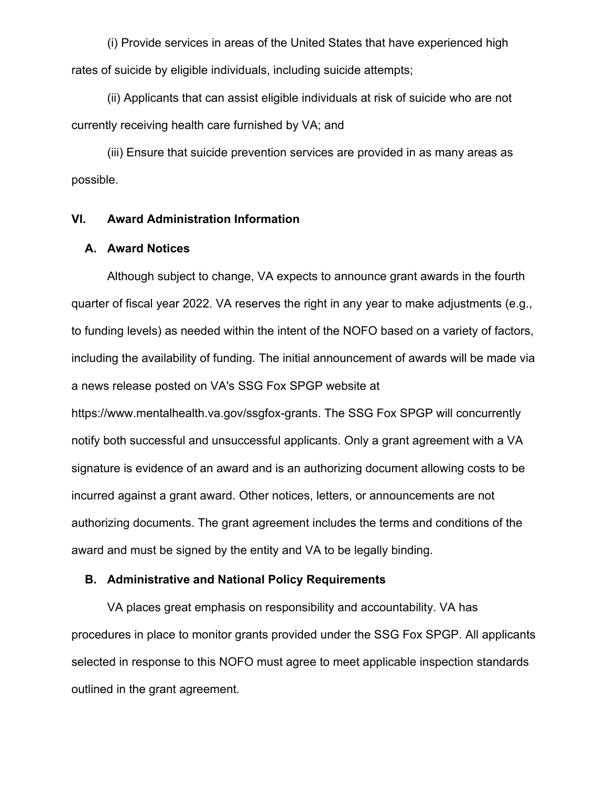(i) Provide services in areas of the United States that have experienced high rates of suicide by eligible individuals, including suicide attempts;

(ii) Applicants that can assist eligible individuals at risk of suicide who are not currently receiving health care furnished by VA; and

(iii) Ensure that suicide prevention services are provided in as many areas as possible.

## **VI. Award Administration Information**

#### **A. Award Notices**

Although subject to change, VA expects to announce grant awards in the fourth quarter of fiscal year 2022. VA reserves the right in any year to make adjustments (e.g., to funding levels) as needed within the intent of the NOFO based on a variety of factors, including the availability of funding. The initial announcement of awards will be made via a news release posted on VA's SSG Fox SPGP website at

https://www.mentalhealth.va.gov/ssgfox-grants. The SSG Fox SPGP will concurrently notify both successful and unsuccessful applicants. Only a grant agreement with a VA signature is evidence of an award and is an authorizing document allowing costs to be incurred against a grant award. Other notices, letters, or announcements are not authorizing documents. The grant agreement includes the terms and conditions of the award and must be signed by the entity and VA to be legally binding.

## **B. Administrative and National Policy Requirements**

VA places great emphasis on responsibility and accountability. VA has procedures in place to monitor grants provided under the SSG Fox SPGP. All applicants selected in response to this NOFO must agree to meet applicable inspection standards outlined in the grant agreement.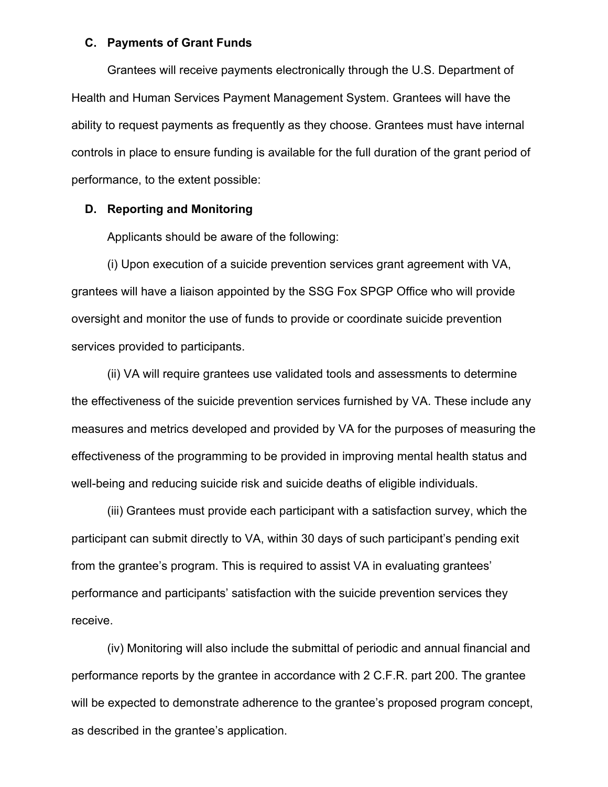#### **C. Payments of Grant Funds**

Grantees will receive payments electronically through the U.S. Department of Health and Human Services Payment Management System. Grantees will have the ability to request payments as frequently as they choose. Grantees must have internal controls in place to ensure funding is available for the full duration of the grant period of performance, to the extent possible:

## **D. Reporting and Monitoring**

Applicants should be aware of the following:

(i) Upon execution of a suicide prevention services grant agreement with VA, grantees will have a liaison appointed by the SSG Fox SPGP Office who will provide oversight and monitor the use of funds to provide or coordinate suicide prevention services provided to participants.

(ii) VA will require grantees use validated tools and assessments to determine the effectiveness of the suicide prevention services furnished by VA. These include any measures and metrics developed and provided by VA for the purposes of measuring the effectiveness of the programming to be provided in improving mental health status and well-being and reducing suicide risk and suicide deaths of eligible individuals.

(iii) Grantees must provide each participant with a satisfaction survey, which the participant can submit directly to VA, within 30 days of such participant's pending exit from the grantee's program. This is required to assist VA in evaluating grantees' performance and participants' satisfaction with the suicide prevention services they receive.

(iv) Monitoring will also include the submittal of periodic and annual financial and performance reports by the grantee in accordance with 2 C.F.R. part 200. The grantee will be expected to demonstrate adherence to the grantee's proposed program concept, as described in the grantee's application.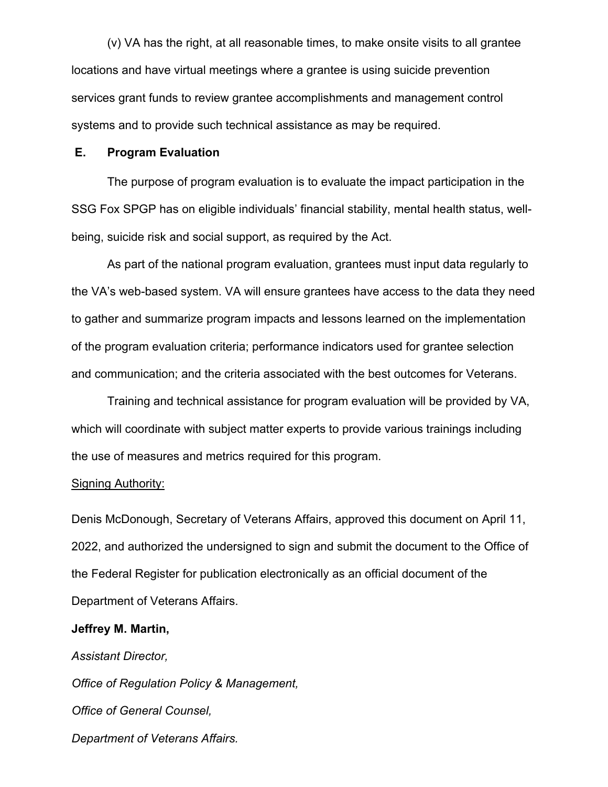(v) VA has the right, at all reasonable times, to make onsite visits to all grantee locations and have virtual meetings where a grantee is using suicide prevention services grant funds to review grantee accomplishments and management control systems and to provide such technical assistance as may be required.

## **E. Program Evaluation**

The purpose of program evaluation is to evaluate the impact participation in the SSG Fox SPGP has on eligible individuals' financial stability, mental health status, wellbeing, suicide risk and social support, as required by the Act.

As part of the national program evaluation, grantees must input data regularly to the VA's web-based system. VA will ensure grantees have access to the data they need to gather and summarize program impacts and lessons learned on the implementation of the program evaluation criteria; performance indicators used for grantee selection and communication; and the criteria associated with the best outcomes for Veterans.

Training and technical assistance for program evaluation will be provided by VA, which will coordinate with subject matter experts to provide various trainings including the use of measures and metrics required for this program.

#### Signing Authority:

Denis McDonough, Secretary of Veterans Affairs, approved this document on April 11, 2022, and authorized the undersigned to sign and submit the document to the Office of the Federal Register for publication electronically as an official document of the Department of Veterans Affairs.

## **Jeffrey M. Martin,**

*Assistant Director, Office of Regulation Policy & Management, Office of General Counsel, Department of Veterans Affairs.*